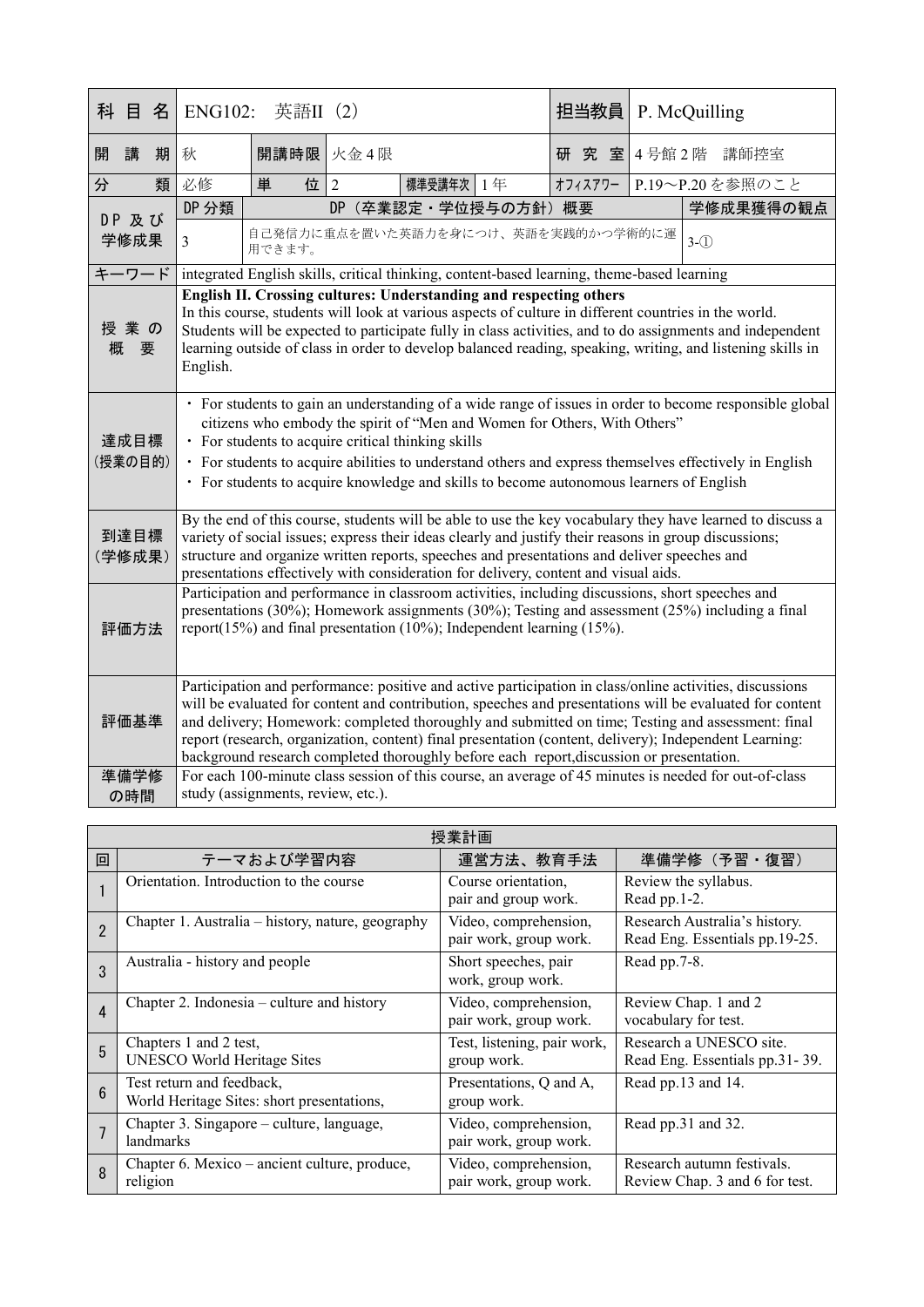| 科              | 目                                                                                                                                                                                                                                                                                                                                                                                                                                                                  | 名                                                                                                                                                                                                                                                                                                                                                                                                        | <b>ENG102:</b>                                                                                                                                                                                                                                                                                                                                                                                                                                                                                                                  | 英語II (2)  |                                    |  | 担当教員    |  | P. McQuilling   |
|----------------|--------------------------------------------------------------------------------------------------------------------------------------------------------------------------------------------------------------------------------------------------------------------------------------------------------------------------------------------------------------------------------------------------------------------------------------------------------------------|----------------------------------------------------------------------------------------------------------------------------------------------------------------------------------------------------------------------------------------------------------------------------------------------------------------------------------------------------------------------------------------------------------|---------------------------------------------------------------------------------------------------------------------------------------------------------------------------------------------------------------------------------------------------------------------------------------------------------------------------------------------------------------------------------------------------------------------------------------------------------------------------------------------------------------------------------|-----------|------------------------------------|--|---------|--|-----------------|
| 開              | 講                                                                                                                                                                                                                                                                                                                                                                                                                                                                  | 期                                                                                                                                                                                                                                                                                                                                                                                                        | 秋                                                                                                                                                                                                                                                                                                                                                                                                                                                                                                                               | 開講時限 火金4限 |                                    |  | 研究室     |  | 4号館2階 講師控室      |
| 分              |                                                                                                                                                                                                                                                                                                                                                                                                                                                                    | 類                                                                                                                                                                                                                                                                                                                                                                                                        | 必修                                                                                                                                                                                                                                                                                                                                                                                                                                                                                                                              | 位 2<br>単  | 標準受講年次 1年                          |  | オフィスアワー |  | P.19~P.20を参照のこと |
|                | DP 及び<br>学修成果                                                                                                                                                                                                                                                                                                                                                                                                                                                      |                                                                                                                                                                                                                                                                                                                                                                                                          | DP 分類                                                                                                                                                                                                                                                                                                                                                                                                                                                                                                                           |           | DP (卒業認定·学位授与の方針) 概要               |  |         |  | 学修成果獲得の観点       |
|                |                                                                                                                                                                                                                                                                                                                                                                                                                                                                    |                                                                                                                                                                                                                                                                                                                                                                                                          | $\overline{3}$                                                                                                                                                                                                                                                                                                                                                                                                                                                                                                                  | 用できます。    | 自己発信力に重点を置いた英語力を身につけ、英語を実践的かつ学術的に運 |  |         |  | $3-\bigcirc$    |
|                | キーワード                                                                                                                                                                                                                                                                                                                                                                                                                                                              |                                                                                                                                                                                                                                                                                                                                                                                                          | integrated English skills, critical thinking, content-based learning, theme-based learning                                                                                                                                                                                                                                                                                                                                                                                                                                      |           |                                    |  |         |  |                 |
| 概              | 授業の<br>要                                                                                                                                                                                                                                                                                                                                                                                                                                                           |                                                                                                                                                                                                                                                                                                                                                                                                          | English II. Crossing cultures: Understanding and respecting others<br>In this course, students will look at various aspects of culture in different countries in the world.<br>Students will be expected to participate fully in class activities, and to do assignments and independent<br>learning outside of class in order to develop balanced reading, speaking, writing, and listening skills in<br>English.                                                                                                              |           |                                    |  |         |  |                 |
|                | · For students to gain an understanding of a wide range of issues in order to become responsible global<br>citizens who embody the spirit of "Men and Women for Others, With Others"<br>達成目標<br>• For students to acquire critical thinking skills<br>(授業の目的)<br>· For students to acquire abilities to understand others and express themselves effectively in English<br>• For students to acquire knowledge and skills to become autonomous learners of English |                                                                                                                                                                                                                                                                                                                                                                                                          |                                                                                                                                                                                                                                                                                                                                                                                                                                                                                                                                 |           |                                    |  |         |  |                 |
| 到達目標<br>(学修成果) |                                                                                                                                                                                                                                                                                                                                                                                                                                                                    | By the end of this course, students will be able to use the key vocabulary they have learned to discuss a<br>variety of social issues; express their ideas clearly and justify their reasons in group discussions;<br>structure and organize written reports, speeches and presentations and deliver speeches and<br>presentations effectively with consideration for delivery, content and visual aids. |                                                                                                                                                                                                                                                                                                                                                                                                                                                                                                                                 |           |                                    |  |         |  |                 |
|                | 評価方法                                                                                                                                                                                                                                                                                                                                                                                                                                                               |                                                                                                                                                                                                                                                                                                                                                                                                          | Participation and performance in classroom activities, including discussions, short speeches and<br>presentations (30%); Homework assignments (30%); Testing and assessment (25%) including a final<br>report(15%) and final presentation (10%); Independent learning (15%).                                                                                                                                                                                                                                                    |           |                                    |  |         |  |                 |
|                | 評価基準                                                                                                                                                                                                                                                                                                                                                                                                                                                               |                                                                                                                                                                                                                                                                                                                                                                                                          | Participation and performance: positive and active participation in class/online activities, discussions<br>will be evaluated for content and contribution, speeches and presentations will be evaluated for content<br>and delivery; Homework: completed thoroughly and submitted on time; Testing and assessment: final<br>report (research, organization, content) final presentation (content, delivery); Independent Learning:<br>background research completed thoroughly before each report, discussion or presentation. |           |                                    |  |         |  |                 |
|                | 準備学修<br>の時間                                                                                                                                                                                                                                                                                                                                                                                                                                                        |                                                                                                                                                                                                                                                                                                                                                                                                          | For each 100-minute class session of this course, an average of 45 minutes is needed for out-of-class<br>study (assignments, review, etc.).                                                                                                                                                                                                                                                                                                                                                                                     |           |                                    |  |         |  |                 |

| 授業計画           |                                                                         |                                                 |                                                                 |  |  |
|----------------|-------------------------------------------------------------------------|-------------------------------------------------|-----------------------------------------------------------------|--|--|
| 回              | テーマおよび学習内容                                                              | 運営方法、教育手法                                       | 準備学修 (予習·復習)                                                    |  |  |
|                | Orientation. Introduction to the course                                 | Course orientation,<br>pair and group work.     | Review the syllabus.<br>Read pp.1-2.                            |  |  |
| $\overline{2}$ | Chapter 1. Australia – history, nature, geography                       | Video, comprehension,<br>pair work, group work. | Research Australia's history.<br>Read Eng. Essentials pp.19-25. |  |  |
| 3              | Australia - history and people                                          | Short speeches, pair<br>work, group work.       | Read pp.7-8.                                                    |  |  |
| $\overline{4}$ | Chapter 2. Indonesia – culture and history                              | Video, comprehension,<br>pair work, group work. | Review Chap. 1 and 2<br>vocabulary for test.                    |  |  |
| 5              | Chapters 1 and 2 test,<br><b>UNESCO World Heritage Sites</b>            | Test, listening, pair work,<br>group work.      | Research a UNESCO site.<br>Read Eng. Essentials pp.31-39.       |  |  |
| 6              | Test return and feedback,<br>World Heritage Sites: short presentations, | Presentations, Q and A,<br>group work.          | Read pp.13 and 14.                                              |  |  |
|                | Chapter 3. Singapore – culture, language,<br>landmarks                  | Video, comprehension,<br>pair work, group work. | Read pp.31 and 32.                                              |  |  |
| 8              | Chapter 6. Mexico – ancient culture, produce,<br>religion               | Video, comprehension,<br>pair work, group work. | Research autumn festivals.<br>Review Chap. 3 and 6 for test.    |  |  |